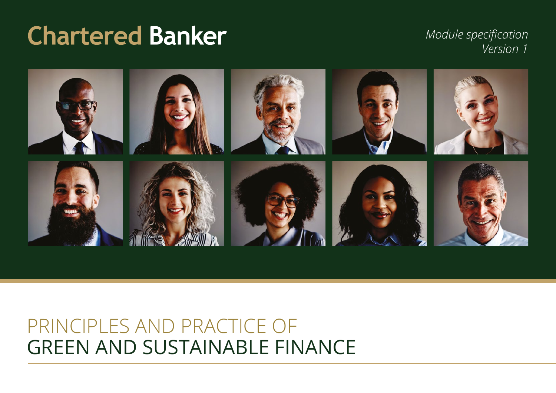# **Chartered Banker**

*Module specification Version 1*



## GREEN AND SUSTAINABLE FINANCE PRINCIPLES AND PRACTICE OF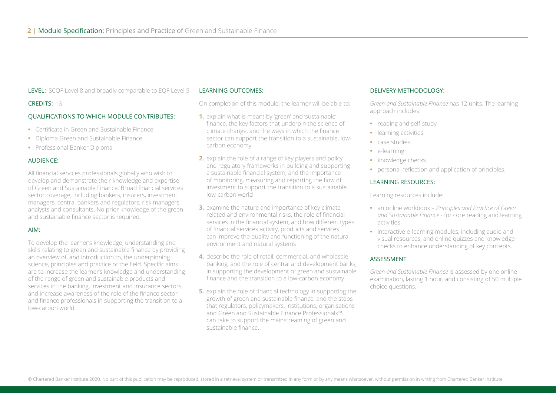LEVEL: SCQF Level 8 and broadly comparable to EQF Level 5

#### CREDITS: 13

#### QUALIFICATIONS TO WHICH MODULE CONTRIBUTES:

- **•** Certificate in Green and Sustainable Finance
- **•** Diploma Green and Sustainable Finance
- **•** Professional Banker Diploma

#### AUDIENCE:

All financial services professionals globally who wish to develop and demonstrate their knowledge and expertise of Green and Sustainable Finance. Broad financial services sector coverage, including bankers, insurers, investment managers, central bankers and regulators, risk managers, analysts and consultants. No prior knowledge of the green and sustainable finance sector is required.

#### AIM:

To develop the learner's knowledge, understanding and skills relating to green and sustainable finance by providing an overview of, and introduction to, the underpinning science, principles and practice of the field. Specific aims are to increase the learner's knowledge and understanding of the range of green and sustainable products and services in the banking, investment and insurance sectors, and increase awareness of the role of the finance sector and finance professionals in supporting the transition to a low-carbon world.

#### LEARNING OUTCOMES:

On completion of this module, the learner will be able to:

- **1.** explain what is meant by 'green' and 'sustainable' finance, the key factors that underpin the science of climate change, and the ways in which the finance sector can support the transition to a sustainable, lowcarbon economy
- **2.** explain the role of a range of key players and policy and regulatory frameworks in building and supporting a sustainable financial system, and the importance of monitoring, measuring and reporting the flow of investment to support the transition to a sustainable, low-carbon world
- **3.** examine the nature and importance of key climaterelated and environmental risks, the role of financial services in the financial system, and how different types of financial services activity, products and services can improve the quality and functioning of the natural environment and natural systems
- **4.** describe the role of retail, commercial, and wholesale banking, and the role of central and development banks, in supporting the development of green and sustainable finance and the transition to a low-carbon economy
- **5.** explain the role of financial technology in supporting the growth of green and sustainable finance, and the steps that regulators, policymakers, institutions, organisations and Green and Sustainable Finance Professionals™ can take to support the mainstreaming of green and sustainable finance.

#### DELIVERY METHODOLOGY:

*Green and Sustainable Finance* has 12 units. The learning approach includes:

- **•** reading and self-study
- **•** learning activities
- **•** case studies
- **•** e-learning
- **•** knowledge checks
- **•** personal reflection and application of principles.

#### LEARNING RESOURCES:

Learning resources include:

- **•** an online workbook *Principles and Practice of Green and Sustainable Finance* - for core reading and learning activities
- **•** interactive e-learning modules, including audio and visual resources, and online quizzes and knowledge checks to enhance understanding of key concepts.

#### ASSESSMENT

*Green and Sustainable Finance* is assessed by one online examination, lasting 1 hour, and consisting of 50 multiple choice questions.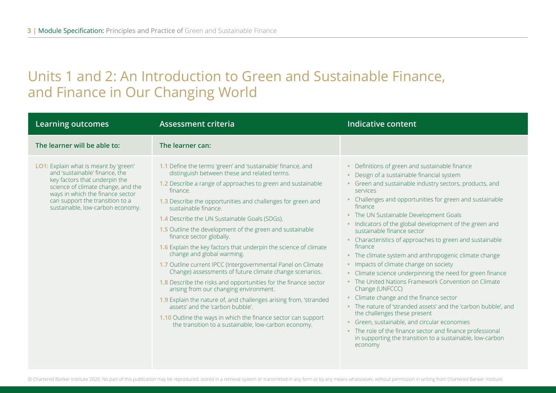### Units 1 and 2: An Introduction to Green and Sustainable Finance, and Finance in Our Changing World

| <b>Learning outcomes</b>                                                                                                                                                                                                                                  | <b>Assessment criteria</b>                                                                                                                                                                                                                                                                                                                                                                                                                                                                                                                                                                                                                                                                                                                                                                                                                                                                                                                                                                                | Indicative content                                                                                                                                                                                                                                                                                                                                                                                                                                                                                                                                                                                                                                                                                                                                                                                                                                                                                                                                                                                                          |
|-----------------------------------------------------------------------------------------------------------------------------------------------------------------------------------------------------------------------------------------------------------|-----------------------------------------------------------------------------------------------------------------------------------------------------------------------------------------------------------------------------------------------------------------------------------------------------------------------------------------------------------------------------------------------------------------------------------------------------------------------------------------------------------------------------------------------------------------------------------------------------------------------------------------------------------------------------------------------------------------------------------------------------------------------------------------------------------------------------------------------------------------------------------------------------------------------------------------------------------------------------------------------------------|-----------------------------------------------------------------------------------------------------------------------------------------------------------------------------------------------------------------------------------------------------------------------------------------------------------------------------------------------------------------------------------------------------------------------------------------------------------------------------------------------------------------------------------------------------------------------------------------------------------------------------------------------------------------------------------------------------------------------------------------------------------------------------------------------------------------------------------------------------------------------------------------------------------------------------------------------------------------------------------------------------------------------------|
| The learner will be able to:                                                                                                                                                                                                                              | The learner can:                                                                                                                                                                                                                                                                                                                                                                                                                                                                                                                                                                                                                                                                                                                                                                                                                                                                                                                                                                                          |                                                                                                                                                                                                                                                                                                                                                                                                                                                                                                                                                                                                                                                                                                                                                                                                                                                                                                                                                                                                                             |
| LO1: Explain what is meant by 'green'<br>and 'sustainable' finance, the<br>key factors that underpin the<br>science of climate change, and the<br>ways in which the finance sector<br>can support the transition to a<br>sustainable, low-carbon economy. | 1.1 Define the terms 'green' and 'sustainable' finance, and<br>distinguish between these and related terms.<br>1.2 Describe a range of approaches to green and sustainable<br>finance.<br>1.3 Describe the opportunities and challenges for green and<br>sustainable finance.<br><b>1.4</b> Describe the UN Sustainable Goals (SDGs).<br>1.5 Outline the development of the green and sustainable<br>finance sector globally.<br>1.6 Explain the key factors that underpin the science of climate<br>change and global warming.<br>1.7 Outline current IPCC (Intergovernmental Panel on Climate<br>Change) assessments of future climate change scenarios.<br>1.8 Describe the risks and opportunities for the finance sector<br>arising from our changing environment.<br>1.9 Explain the nature of, and challenges arising from, 'stranded<br>assets' and the 'carbon bubble'.<br>1.10 Outline the ways in which the finance sector can support<br>the transition to a sustainable, low-carbon economy. | Definitions of green and sustainable finance<br>Design of a sustainable financial system<br>• Green and sustainable industry sectors, products, and<br>services<br>Challenges and opportunities for green and sustainable<br>finance<br>• The UN Sustainable Development Goals<br>• Indicators of the global development of the green and<br>sustainable finance sector<br>• Characteristics of approaches to green and sustainable<br>finance<br>• The climate system and anthropogenic climate change<br>• Impacts of climate change on society<br>• Climate science underpinning the need for green finance<br>• The United Nations Framework Convention on Climate<br>Change (UNFCCC)<br>• Climate change and the finance sector<br>• The nature of 'stranded assets' and the 'carbon bubble', and<br>the challenges these present<br>• Green, sustainable, and circular economies<br>• The role of the finance sector and finance professional<br>in supporting the transition to a sustainable, low-carbon<br>economy |

© Chartered Banker Institute 2020. No part of this publication may be reproduced, stored in a retrieval system or transmitted in any form or by any means whatsoever, without permission in writing from Chartered Banker Inst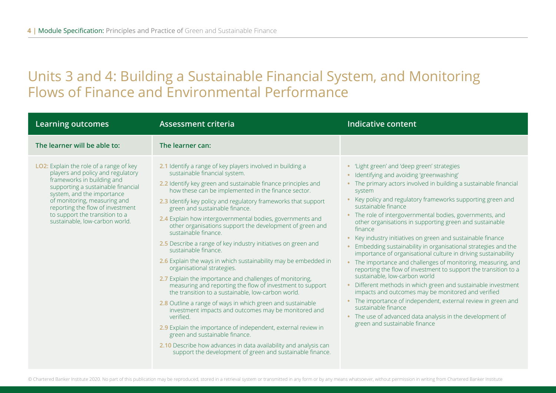### Units 3 and 4: Building a Sustainable Financial System, and Monitoring Flows of Finance and Environmental Performance

| <b>Learning outcomes</b>                                                                                                                                                                                                                                                                                               | <b>Assessment criteria</b>                                                                                                                                                                                                                                                                                                                                                                                                                                                                                                                                                                                                                                                                                                                                                                                                                                                                                                                                                                                                                                                                                                                                                                                              | <b>Indicative content</b>                                                                                                                                                                                                                                                                                                                                                                                                                                                                                                                                                                                                                                                                                                                                                                                                                                                                                                                                                                                                                                                     |
|------------------------------------------------------------------------------------------------------------------------------------------------------------------------------------------------------------------------------------------------------------------------------------------------------------------------|-------------------------------------------------------------------------------------------------------------------------------------------------------------------------------------------------------------------------------------------------------------------------------------------------------------------------------------------------------------------------------------------------------------------------------------------------------------------------------------------------------------------------------------------------------------------------------------------------------------------------------------------------------------------------------------------------------------------------------------------------------------------------------------------------------------------------------------------------------------------------------------------------------------------------------------------------------------------------------------------------------------------------------------------------------------------------------------------------------------------------------------------------------------------------------------------------------------------------|-------------------------------------------------------------------------------------------------------------------------------------------------------------------------------------------------------------------------------------------------------------------------------------------------------------------------------------------------------------------------------------------------------------------------------------------------------------------------------------------------------------------------------------------------------------------------------------------------------------------------------------------------------------------------------------------------------------------------------------------------------------------------------------------------------------------------------------------------------------------------------------------------------------------------------------------------------------------------------------------------------------------------------------------------------------------------------|
| The learner will be able to:                                                                                                                                                                                                                                                                                           | The learner can:                                                                                                                                                                                                                                                                                                                                                                                                                                                                                                                                                                                                                                                                                                                                                                                                                                                                                                                                                                                                                                                                                                                                                                                                        |                                                                                                                                                                                                                                                                                                                                                                                                                                                                                                                                                                                                                                                                                                                                                                                                                                                                                                                                                                                                                                                                               |
| LO2: Explain the role of a range of key<br>players and policy and regulatory<br>frameworks in building and<br>supporting a sustainable financial<br>system, and the importance<br>of monitoring, measuring and<br>reporting the flow of investment<br>to support the transition to a<br>sustainable, low-carbon world. | 2.1 Identify a range of key players involved in building a<br>sustainable financial system.<br>2.2 Identify key green and sustainable finance principles and<br>how these can be implemented in the finance sector.<br>2.3 Identify key policy and regulatory frameworks that support<br>green and sustainable finance.<br>2.4 Explain how intergovernmental bodies, governments and<br>other organisations support the development of green and<br>sustainable finance.<br>2.5 Describe a range of key industry initiatives on green and<br>sustainable finance.<br>2.6 Explain the ways in which sustainability may be embedded in<br>organisational strategies.<br>2.7 Explain the importance and challenges of monitoring,<br>measuring and reporting the flow of investment to support<br>the transition to a sustainable, low-carbon world.<br>2.8 Outline a range of ways in which green and sustainable<br>investment impacts and outcomes may be monitored and<br>verified<br>2.9 Explain the importance of independent, external review in<br>green and sustainable finance.<br>2.10 Describe how advances in data availability and analysis can<br>support the development of green and sustainable finance. | • 'Light green' and 'deep green' strategies<br>· Identifying and avoiding 'greenwashing'<br>• The primary actors involved in building a sustainable financial<br>system<br>Key policy and regulatory frameworks supporting green and<br>sustainable finance<br>• The role of intergovernmental bodies, governments, and<br>other organisations in supporting green and sustainable<br>finance<br>Key industry initiatives on green and sustainable finance<br>Embedding sustainability in organisational strategies and the<br>importance of organisational culture in driving sustainability<br>• The importance and challenges of monitoring, measuring, and<br>reporting the flow of investment to support the transition to a<br>sustainable, low-carbon world<br>Different methods in which green and sustainable investment<br>impacts and outcomes may be monitored and verified<br>• The importance of independent, external review in green and<br>sustainable finance<br>• The use of advanced data analysis in the development of<br>green and sustainable finance |

© Chartered Banker Institute 2020. No part of this publication may be reproduced, stored in a retrieval system or transmitted in any form or by any means whatsoever, without permission in writing from Chartered Banker Inst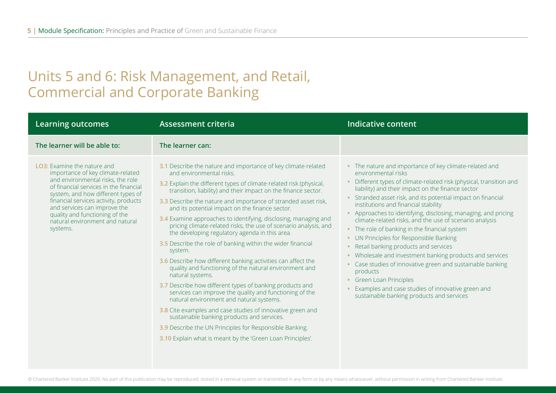### Units 5 and 6: Risk Management, and Retail, Commercial and Corporate Banking

| <b>Learning outcomes</b>                                                                                                                                                                                                                                                                                                                               | <b>Assessment criteria</b>                                                                                                                                                                                                                                                                                                                                                                                                                                                                                                                                                                                                                                                                                                                                                                                                                                                                                                                                                                                                                                                                                                                                                      | <b>Indicative content</b>                                                                                                                                                                                                                                                                                                                                                                                                                                                                                                                                                                                                                                                                                                                                                                                                                              |
|--------------------------------------------------------------------------------------------------------------------------------------------------------------------------------------------------------------------------------------------------------------------------------------------------------------------------------------------------------|---------------------------------------------------------------------------------------------------------------------------------------------------------------------------------------------------------------------------------------------------------------------------------------------------------------------------------------------------------------------------------------------------------------------------------------------------------------------------------------------------------------------------------------------------------------------------------------------------------------------------------------------------------------------------------------------------------------------------------------------------------------------------------------------------------------------------------------------------------------------------------------------------------------------------------------------------------------------------------------------------------------------------------------------------------------------------------------------------------------------------------------------------------------------------------|--------------------------------------------------------------------------------------------------------------------------------------------------------------------------------------------------------------------------------------------------------------------------------------------------------------------------------------------------------------------------------------------------------------------------------------------------------------------------------------------------------------------------------------------------------------------------------------------------------------------------------------------------------------------------------------------------------------------------------------------------------------------------------------------------------------------------------------------------------|
| The learner will be able to:                                                                                                                                                                                                                                                                                                                           | The learner can:                                                                                                                                                                                                                                                                                                                                                                                                                                                                                                                                                                                                                                                                                                                                                                                                                                                                                                                                                                                                                                                                                                                                                                |                                                                                                                                                                                                                                                                                                                                                                                                                                                                                                                                                                                                                                                                                                                                                                                                                                                        |
| <b>LO3:</b> Examine the nature and<br>importance of key climate-related<br>and environmental risks, the role<br>of financial services in the financial<br>system, and how different types of<br>financial services activity, products<br>and services can improve the<br>quality and functioning of the<br>natural environment and natural<br>systems. | 3.1 Describe the nature and importance of key climate-related<br>and environmental risks.<br>3.2 Explain the different types of climate-related risk (physical,<br>transition, liability) and their impact on the finance sector.<br>3.3 Describe the nature and importance of stranded asset risk,<br>and its potential impact on the finance sector.<br>3.4 Examine approaches to identifying, disclosing, managing and<br>pricing climate-related risks, the use of scenario analysis, and<br>the developing regulatory agenda in this area.<br>3.5 Describe the role of banking within the wider financial<br>system.<br>3.6 Describe how different banking activities can affect the<br>quality and functioning of the natural environment and<br>natural systems.<br>3.7 Describe how different types of banking products and<br>services can improve the quality and functioning of the<br>natural environment and natural systems.<br>3.8 Cite examples and case studies of innovative green and<br>sustainable banking products and services.<br>3.9 Describe the UN Principles for Responsible Banking.<br>3.10 Explain what is meant by the 'Green Loan Principles'. | • The nature and importance of key climate-related and<br>environmental risks<br>Different types of climate-related risk (physical, transition and<br>liability) and their impact on the finance sector<br>• Stranded asset risk, and its potential impact on financial<br>institutions and financial stability<br>Approaches to identifying, disclosing, managing, and pricing<br>climate-related risks, and the use of scenario analysis<br>• The role of banking in the financial system<br>• UN Principles for Responsible Banking<br>Retail banking products and services<br>• Wholesale and investment banking products and services<br>• Case studies of innovative green and sustainable banking<br>products<br><b>Green Loan Principles</b><br>Examples and case studies of innovative green and<br>sustainable banking products and services |

© Chartered Banker Institute 2020. No part of this publication may be reproduced, stored in a retrieval system or transmitted in any form or by any means whatsoever, without permission in writing from Chartered Banker Inst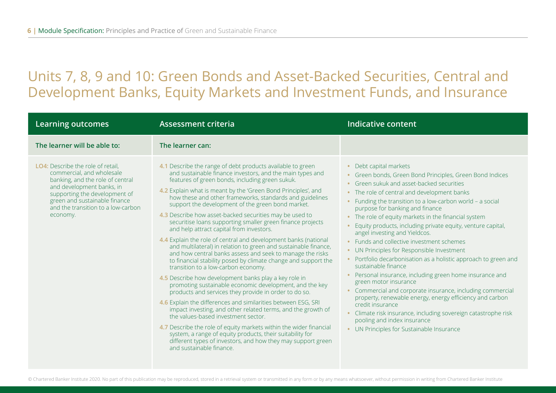### Units 7, 8, 9 and 10: Green Bonds and Asset-Backed Securities, Central and Development Banks, Equity Markets and Investment Funds, and Insurance

| <b>Learning outcomes</b>                                                                                                                                                                                                                                   | <b>Assessment criteria</b>                                                                                                                                                                                                                                                                                                                                                                                                                                                                                                                                                                                                                                                                                                                                                                                                                                                                                                                                                                                                                                                                                                                                                                                                                                                                                                                                                                                                        | <b>Indicative content</b>                                                                                                                                                                                                                                                                                                                                                                                                                                                                                                                                                                                                                                                                                                                                                                                                                                                                                                                                                                                  |
|------------------------------------------------------------------------------------------------------------------------------------------------------------------------------------------------------------------------------------------------------------|-----------------------------------------------------------------------------------------------------------------------------------------------------------------------------------------------------------------------------------------------------------------------------------------------------------------------------------------------------------------------------------------------------------------------------------------------------------------------------------------------------------------------------------------------------------------------------------------------------------------------------------------------------------------------------------------------------------------------------------------------------------------------------------------------------------------------------------------------------------------------------------------------------------------------------------------------------------------------------------------------------------------------------------------------------------------------------------------------------------------------------------------------------------------------------------------------------------------------------------------------------------------------------------------------------------------------------------------------------------------------------------------------------------------------------------|------------------------------------------------------------------------------------------------------------------------------------------------------------------------------------------------------------------------------------------------------------------------------------------------------------------------------------------------------------------------------------------------------------------------------------------------------------------------------------------------------------------------------------------------------------------------------------------------------------------------------------------------------------------------------------------------------------------------------------------------------------------------------------------------------------------------------------------------------------------------------------------------------------------------------------------------------------------------------------------------------------|
| The learner will be able to:                                                                                                                                                                                                                               | The learner can:                                                                                                                                                                                                                                                                                                                                                                                                                                                                                                                                                                                                                                                                                                                                                                                                                                                                                                                                                                                                                                                                                                                                                                                                                                                                                                                                                                                                                  |                                                                                                                                                                                                                                                                                                                                                                                                                                                                                                                                                                                                                                                                                                                                                                                                                                                                                                                                                                                                            |
| <b>LO4:</b> Describe the role of retail.<br>commercial, and wholesale<br>banking, and the role of central<br>and development banks, in<br>supporting the development of<br>green and sustainable finance<br>and the transition to a low-carbon<br>economy. | 4.1 Describe the range of debt products available to green<br>and sustainable finance investors, and the main types and<br>features of green bonds, including green sukuk.<br>4.2 Explain what is meant by the 'Green Bond Principles', and<br>how these and other frameworks, standards and guidelines<br>support the development of the green bond market.<br>4.3 Describe how asset-backed securities may be used to<br>securitise loans supporting smaller green finance projects<br>and help attract capital from investors.<br>4.4 Explain the role of central and development banks (national<br>and multilateral) in relation to green and sustainable finance,<br>and how central banks assess and seek to manage the risks<br>to financial stability posed by climate change and support the<br>transition to a low-carbon economy.<br>4.5 Describe how development banks play a key role in<br>promoting sustainable economic development, and the key<br>products and services they provide in order to do so.<br>4.6 Explain the differences and similarities between ESG, SRI<br>impact investing, and other related terms, and the growth of<br>the values-based investment sector.<br>4.7 Describe the role of equity markets within the wider financial<br>system, a range of equity products, their suitability for<br>different types of investors, and how they may support green<br>and sustainable finance. | • Debt capital markets<br>• Green bonds, Green Bond Principles, Green Bond Indices<br>• Green sukuk and asset-backed securities<br>• The role of central and development banks<br>• Funding the transition to a low-carbon world - a social<br>purpose for banking and finance<br>• The role of equity markets in the financial system<br>Equity products, including private equity, venture capital,<br>angel investing and Yieldcos.<br>• Funds and collective investment schemes<br>• UN Principles for Responsible Investment<br>• Portfolio decarbonisation as a holistic approach to green and<br>sustainable finance<br>Personal insurance, including green home insurance and<br>green motor insurance<br>• Commercial and corporate insurance, including commercial<br>property, renewable energy, energy efficiency and carbon<br>credit insurance<br>• Climate risk insurance, including sovereign catastrophe risk<br>pooling and index insurance<br>• UN Principles for Sustainable Insurance |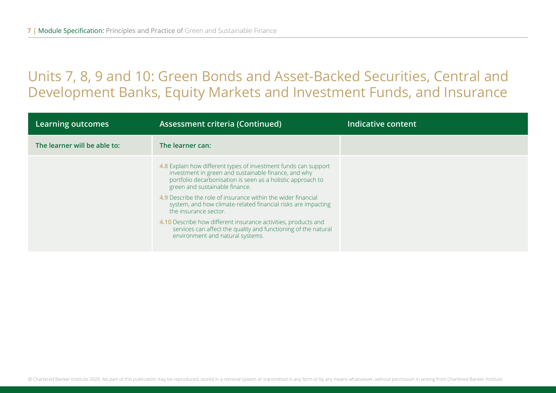### Units 7, 8, 9 and 10: Green Bonds and Asset-Backed Securities, Central and Development Banks, Equity Markets and Investment Funds, and Insurance

| Learning outcomes            | <b>Assessment criteria (Continued)</b>                                                                                                                                                                                                                                                                                                                                              | Indicative content |
|------------------------------|-------------------------------------------------------------------------------------------------------------------------------------------------------------------------------------------------------------------------------------------------------------------------------------------------------------------------------------------------------------------------------------|--------------------|
| The learner will be able to: | The learner can:                                                                                                                                                                                                                                                                                                                                                                    |                    |
|                              | 4.8 Explain how different types of investment funds can support<br>investment in green and sustainable finance, and why<br>portfolio decarbonisation is seen as a holistic approach to<br>green and sustainable finance.<br>4.9 Describe the role of insurance within the wider financial<br>system, and how climate-related financial risks are impacting<br>the insurance sector. |                    |
|                              | 4.10 Describe how different insurance activities, products and<br>services can affect the quality and functioning of the natural<br>environment and natural systems.                                                                                                                                                                                                                |                    |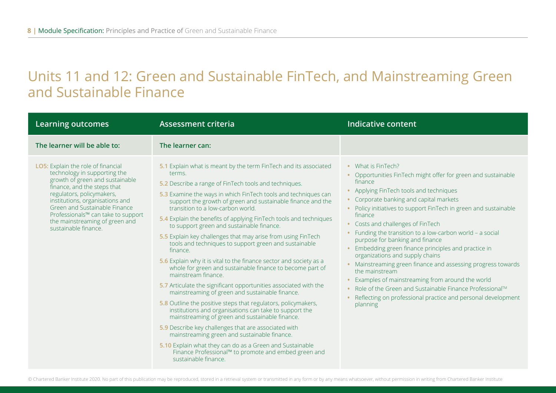### Units 11 and 12: Green and Sustainable FinTech, and Mainstreaming Green and Sustainable Finance

| <b>Learning outcomes</b>                                                                                                                                                                                                                                                                                                              | <b>Assessment criteria</b>                                                                                                                                                                                                                                                                                                                                                                                                                                                                                                                                                                                                                                                                                                                                                                                                                                                                                                                                                                                                                                                                                                                                                                                                                                                          | Indicative content                                                                                                                                                                                                                                                                                                                                                                                                                                                                                                                                                                                                                                                                                                                                                        |
|---------------------------------------------------------------------------------------------------------------------------------------------------------------------------------------------------------------------------------------------------------------------------------------------------------------------------------------|-------------------------------------------------------------------------------------------------------------------------------------------------------------------------------------------------------------------------------------------------------------------------------------------------------------------------------------------------------------------------------------------------------------------------------------------------------------------------------------------------------------------------------------------------------------------------------------------------------------------------------------------------------------------------------------------------------------------------------------------------------------------------------------------------------------------------------------------------------------------------------------------------------------------------------------------------------------------------------------------------------------------------------------------------------------------------------------------------------------------------------------------------------------------------------------------------------------------------------------------------------------------------------------|---------------------------------------------------------------------------------------------------------------------------------------------------------------------------------------------------------------------------------------------------------------------------------------------------------------------------------------------------------------------------------------------------------------------------------------------------------------------------------------------------------------------------------------------------------------------------------------------------------------------------------------------------------------------------------------------------------------------------------------------------------------------------|
| The learner will be able to:                                                                                                                                                                                                                                                                                                          | The learner can:                                                                                                                                                                                                                                                                                                                                                                                                                                                                                                                                                                                                                                                                                                                                                                                                                                                                                                                                                                                                                                                                                                                                                                                                                                                                    |                                                                                                                                                                                                                                                                                                                                                                                                                                                                                                                                                                                                                                                                                                                                                                           |
| LO5: Explain the role of financial<br>technology in supporting the<br>growth of green and sustainable<br>finance, and the steps that<br>regulators, policymakers,<br>institutions, organisations and<br>Green and Sustainable Finance<br>Professionals™ can take to support<br>the mainstreaming of green and<br>sustainable finance. | 5.1 Explain what is meant by the term FinTech and its associated<br>terms.<br>5.2 Describe a range of FinTech tools and techniques.<br>5.3 Examine the ways in which FinTech tools and techniques can<br>support the growth of green and sustainable finance and the<br>transition to a low-carbon world.<br>5.4 Explain the benefits of applying FinTech tools and techniques<br>to support green and sustainable finance.<br>5.5 Explain key challenges that may arise from using FinTech<br>tools and techniques to support green and sustainable<br>finance.<br>5.6 Explain why it is vital to the finance sector and society as a<br>whole for green and sustainable finance to become part of<br>mainstream finance.<br>5.7 Articulate the significant opportunities associated with the<br>mainstreaming of green and sustainable finance.<br>5.8 Outline the positive steps that regulators, policymakers,<br>institutions and organisations can take to support the<br>mainstreaming of green and sustainable finance.<br>5.9 Describe key challenges that are associated with<br>mainstreaming green and sustainable finance.<br>5.10 Explain what they can do as a Green and Sustainable<br>Finance Professional™ to promote and embed green and<br>sustainable finance. | • What is FinTech?<br>• Opportunities FinTech might offer for green and sustainable<br>finance<br>• Applying FinTech tools and techniques<br>Corporate banking and capital markets<br>• Policy initiatives to support FinTech in green and sustainable<br>finance<br>• Costs and challenges of FinTech<br>Funding the transition to a low-carbon world - a social<br>purpose for banking and finance<br>Embedding green finance principles and practice in<br>organizations and supply chains<br>• Mainstreaming green finance and assessing progress towards<br>the mainstream<br>Examples of mainstreaming from around the world<br>Role of the Green and Sustainable Finance Professional™<br>Reflecting on professional practice and personal development<br>planning |